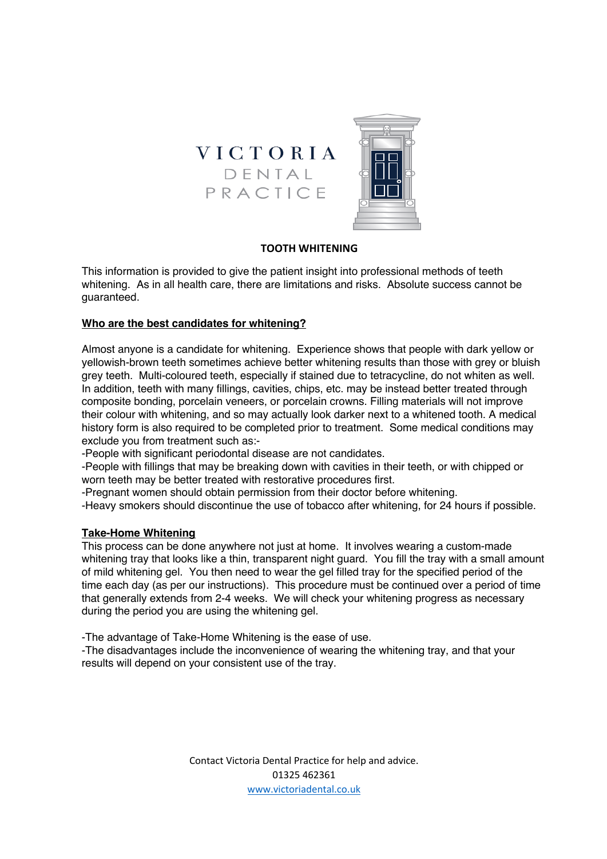

# **TOOTH WHITENING**

This information is provided to give the patient insight into professional methods of teeth whitening. As in all health care, there are limitations and risks. Absolute success cannot be guaranteed.

### **Who are the best candidates for whitening?**

Almost anyone is a candidate for whitening. Experience shows that people with dark yellow or yellowish-brown teeth sometimes achieve better whitening results than those with grey or bluish grey teeth. Multi-coloured teeth, especially if stained due to tetracycline, do not whiten as well. In addition, teeth with many fillings, cavities, chips, etc. may be instead better treated through composite bonding, porcelain veneers, or porcelain crowns. Filling materials will not improve their colour with whitening, and so may actually look darker next to a whitened tooth. A medical history form is also required to be completed prior to treatment. Some medical conditions may exclude you from treatment such as:-

-People with significant periodontal disease are not candidates.

-People with fillings that may be breaking down with cavities in their teeth, or with chipped or worn teeth may be better treated with restorative procedures first.

-Pregnant women should obtain permission from their doctor before whitening.

-Heavy smokers should discontinue the use of tobacco after whitening, for 24 hours if possible.

# **Take-Home Whitening**

This process can be done anywhere not just at home. It involves wearing a custom-made whitening tray that looks like a thin, transparent night guard. You fill the tray with a small amount of mild whitening gel. You then need to wear the gel filled tray for the specified period of the time each day (as per our instructions). This procedure must be continued over a period of time that generally extends from 2-4 weeks. We will check your whitening progress as necessary during the period you are using the whitening gel.

-The advantage of Take-Home Whitening is the ease of use.

-The disadvantages include the inconvenience of wearing the whitening tray, and that your results will depend on your consistent use of the tray.

> Contact Victoria Dental Practice for help and advice. 01325 462361 www.victoriadental.co.uk